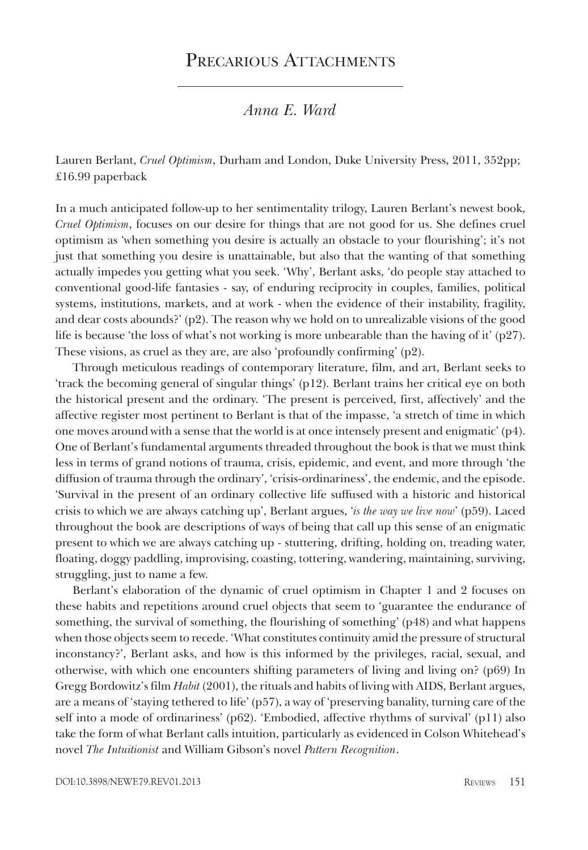# PRECARIOUS ATTACHMENTS

### *Anna E. Ward*

Lauren Berlant, *Cruel Optimism*, Durham and London, Duke University Press, 2011, 352pp; £16.99 paperback

In a much anticipated follow-up to her sentimentality trilogy, Lauren Berlant's newest book, *Cruel Optimism*, focuses on our desire for things that are not good for us. She defines cruel optimism as 'when something you desire is actually an obstacle to your flourishing'; it's not just that something you desire is unattainable, but also that the wanting of that something actually impedes you getting what you seek. 'Why', Berlant asks, 'do people stay attached to conventional good-life fantasies - say, of enduring reciprocity in couples, families, political systems, institutions, markets, and at work - when the evidence of their instability, fragility, and dear costs abounds?' (p2). The reason why we hold on to unrealizable visions of the good life is because 'the loss of what's not working is more unbearable than the having of it' (p27). These visions, as cruel as they are, are also 'profoundly confirming' (p2).

Through meticulous readings of contemporary literature, film, and art, Berlant seeks to 'track the becoming general of singular things' (p12). Berlant trains her critical eye on both the historical present and the ordinary. 'The present is perceived, first, affectively' and the affective register most pertinent to Berlant is that of the impasse, 'a stretch of time in which one moves around with a sense that the world is at once intensely present and enigmatic' (p4). One of Berlant's fundamental arguments threaded throughout the book is that we must think less in terms of grand notions of trauma, crisis, epidemic, and event, and more through 'the diffusion of trauma through the ordinary', 'crisis-ordinariness', the endemic, and the episode. 'Survival in the present of an ordinary collective life suffused with a historic and historical crisis to which we are always catching up', Berlant argues, '*is the way we live now*' (p59). Laced throughout the book are descriptions of ways of being that call up this sense of an enigmatic present to which we are always catching up - stuttering, drifting, holding on, treading water, floating, doggy paddling, improvising, coasting, tottering, wandering, maintaining, surviving, struggling, just to name a few.

Berlant's elaboration of the dynamic of cruel optimism in Chapter 1 and 2 focuses on these habits and repetitions around cruel objects that seem to 'guarantee the endurance of something, the survival of something, the flourishing of something' (p48) and what happens when those objects seem to recede. 'What constitutes continuity amid the pressure of structural inconstancy?', Berlant asks, and how is this informed by the privileges, racial, sexual, and otherwise, with which one encounters shifting parameters of living and living on? (p69) In Gregg Bordowitz's film *Habit* (2001), the rituals and habits of living with AIDS, Berlant argues, are a means of 'staying tethered to life' (p57), a way of 'preserving banality, turning care of the self into a mode of ordinariness' (p62). 'Embodied, affective rhythms of survival' (p11) also take the form of what Berlant calls intuition, particularly as evidenced in Colson Whitehead's novel *The Intuitionist* and William Gibson's novel *Pattern Recognition*.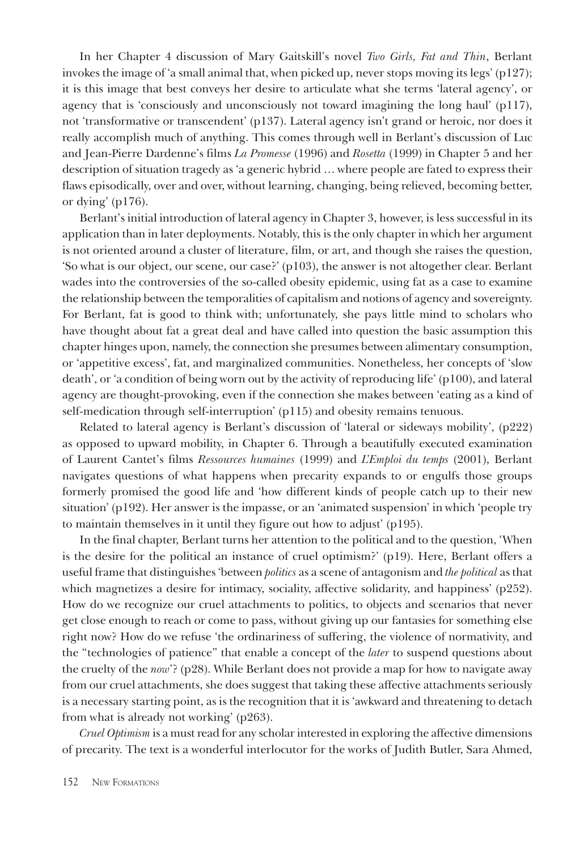In her Chapter 4 discussion of Mary Gaitskill's novel *Two Girls, Fat and Thin*, Berlant invokes the image of 'a small animal that, when picked up, never stops moving its legs' (p127); it is this image that best conveys her desire to articulate what she terms 'lateral agency', or agency that is 'consciously and unconsciously not toward imagining the long haul' (p117), not 'transformative or transcendent' (p137). Lateral agency isn't grand or heroic, nor does it really accomplish much of anything. This comes through well in Berlant's discussion of Luc and Jean-Pierre Dardenne's films *La Promesse* (1996) and *Rosetta* (1999) in Chapter 5 and her description of situation tragedy as 'a generic hybrid … where people are fated to express their flaws episodically, over and over, without learning, changing, being relieved, becoming better, or dying' (p176).

Berlant's initial introduction of lateral agency in Chapter 3, however, is less successful in its application than in later deployments. Notably, this is the only chapter in which her argument is not oriented around a cluster of literature, film, or art, and though she raises the question, 'So what is our object, our scene, our case?' (p103), the answer is not altogether clear. Berlant wades into the controversies of the so-called obesity epidemic, using fat as a case to examine the relationship between the temporalities of capitalism and notions of agency and sovereignty. For Berlant, fat is good to think with; unfortunately, she pays little mind to scholars who have thought about fat a great deal and have called into question the basic assumption this chapter hinges upon, namely, the connection she presumes between alimentary consumption, or 'appetitive excess', fat, and marginalized communities. Nonetheless, her concepts of 'slow death', or 'a condition of being worn out by the activity of reproducing life' (p100), and lateral agency are thought-provoking, even if the connection she makes between 'eating as a kind of self-medication through self-interruption' (p115) and obesity remains tenuous.

Related to lateral agency is Berlant's discussion of 'lateral or sideways mobility', (p222) as opposed to upward mobility, in Chapter 6. Through a beautifully executed examination of Laurent Cantet's films *Ressources humaines* (1999) and *L'Emploi du temps* (2001), Berlant navigates questions of what happens when precarity expands to or engulfs those groups formerly promised the good life and 'how different kinds of people catch up to their new situation' (p192). Her answer is the impasse, or an 'animated suspension' in which 'people try to maintain themselves in it until they figure out how to adjust' (p195).

In the final chapter, Berlant turns her attention to the political and to the question, 'When is the desire for the political an instance of cruel optimism?' (p19). Here, Berlant offers a useful frame that distinguishes 'between *politics* as a scene of antagonism and *the political* as that which magnetizes a desire for intimacy, sociality, affective solidarity, and happiness' (p252). How do we recognize our cruel attachments to politics, to objects and scenarios that never get close enough to reach or come to pass, without giving up our fantasies for something else right now? How do we refuse 'the ordinariness of suffering, the violence of normativity, and the "technologies of patience" that enable a concept of the *later* to suspend questions about the cruelty of the *now*'? (p28). While Berlant does not provide a map for how to navigate away from our cruel attachments, she does suggest that taking these affective attachments seriously is a necessary starting point, as is the recognition that it is 'awkward and threatening to detach from what is already not working' (p263).

*Cruel Optimism* is a must read for any scholar interested in exploring the affective dimensions of precarity. The text is a wonderful interlocutor for the works of Judith Butler, Sara Ahmed,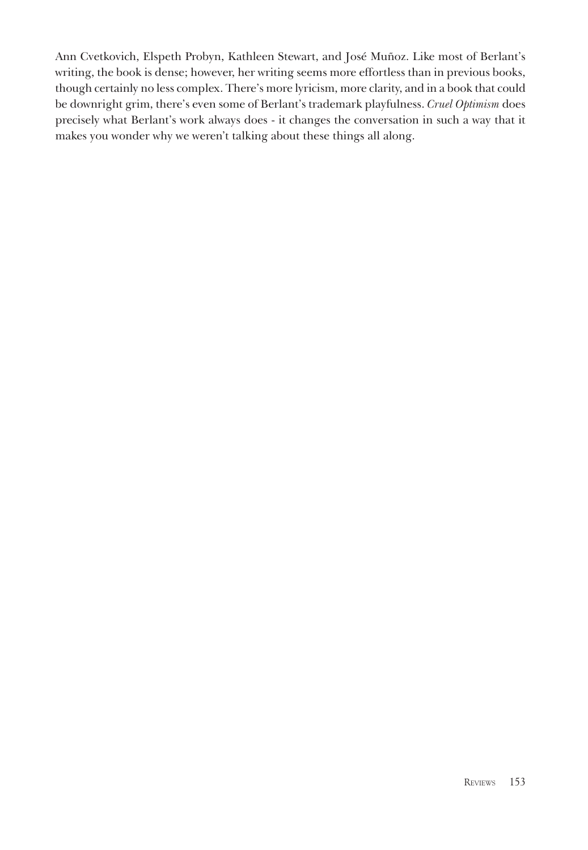Ann Cvetkovich, Elspeth Probyn, Kathleen Stewart, and José Muñoz. Like most of Berlant's writing, the book is dense; however, her writing seems more effortless than in previous books, though certainly no less complex. There's more lyricism, more clarity, and in a book that could be downright grim, there's even some of Berlant's trademark playfulness. *Cruel Optimism* does precisely what Berlant's work always does - it changes the conversation in such a way that it makes you wonder why we weren't talking about these things all along.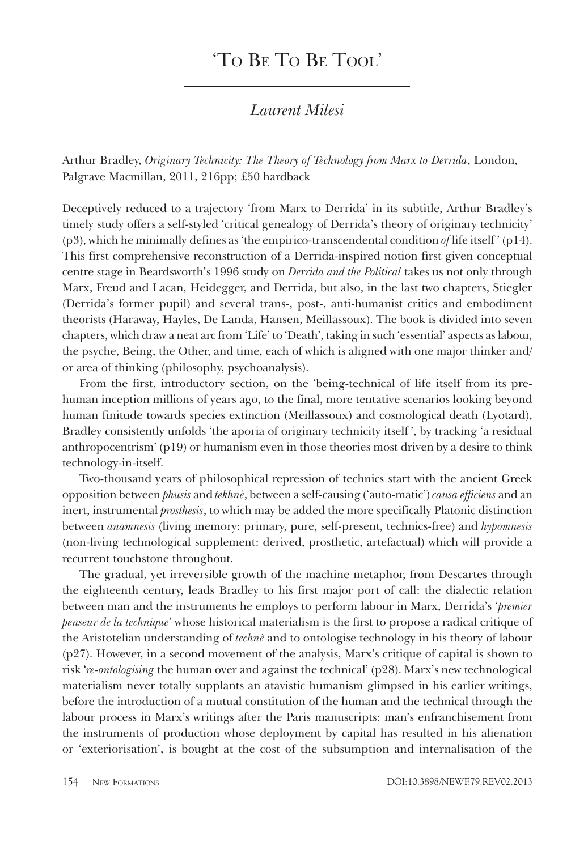# 'To Be To Be Tool'

### *Laurent Milesi*

Arthur Bradley, *Originary Technicity: The Theory of Technology from Marx to Derrida*, London, Palgrave Macmillan, 2011, 216pp; £50 hardback

Deceptively reduced to a trajectory 'from Marx to Derrida' in its subtitle, Arthur Bradley's timely study offers a self-styled 'critical genealogy of Derrida's theory of originary technicity' (p3), which he minimally defines as 'the empirico-transcendental condition *of* life itself ' (p14). This first comprehensive reconstruction of a Derrida-inspired notion first given conceptual centre stage in Beardsworth's 1996 study on *Derrida and the Political* takes us not only through Marx, Freud and Lacan, Heidegger, and Derrida, but also, in the last two chapters, Stiegler (Derrida's former pupil) and several trans-, post-, anti-humanist critics and embodiment theorists (Haraway, Hayles, De Landa, Hansen, Meillassoux). The book is divided into seven chapters, which draw a neat arc from 'Life' to 'Death', taking in such 'essential' aspects as labour, the psyche, Being, the Other, and time, each of which is aligned with one major thinker and/ or area of thinking (philosophy, psychoanalysis).

From the first, introductory section, on the 'being-technical of life itself from its prehuman inception millions of years ago, to the final, more tentative scenarios looking beyond human finitude towards species extinction (Meillassoux) and cosmological death (Lyotard), Bradley consistently unfolds 'the aporia of originary technicity itself ', by tracking 'a residual anthropocentrism' (p19) or humanism even in those theories most driven by a desire to think technology-in-itself.

Two-thousand years of philosophical repression of technics start with the ancient Greek opposition between *phusis* and *tekhnè*, between a self-causing ('auto-matic') *causa efficiens* and an inert, instrumental *prosthesis*, to which may be added the more specifically Platonic distinction between *anamnesis* (living memory: primary, pure, self-present, technics-free) and *hypomnesis* (non-living technological supplement: derived, prosthetic, artefactual) which will provide a recurrent touchstone throughout.

The gradual, yet irreversible growth of the machine metaphor, from Descartes through the eighteenth century, leads Bradley to his first major port of call: the dialectic relation between man and the instruments he employs to perform labour in Marx, Derrida's '*premier penseur de la technique*' whose historical materialism is the first to propose a radical critique of the Aristotelian understanding of *technè* and to ontologise technology in his theory of labour (p27). However, in a second movement of the analysis, Marx's critique of capital is shown to risk '*re-ontologising* the human over and against the technical' (p28). Marx's new technological materialism never totally supplants an atavistic humanism glimpsed in his earlier writings, before the introduction of a mutual constitution of the human and the technical through the labour process in Marx's writings after the Paris manuscripts: man's enfranchisement from the instruments of production whose deployment by capital has resulted in his alienation or 'exteriorisation', is bought at the cost of the subsumption and internalisation of the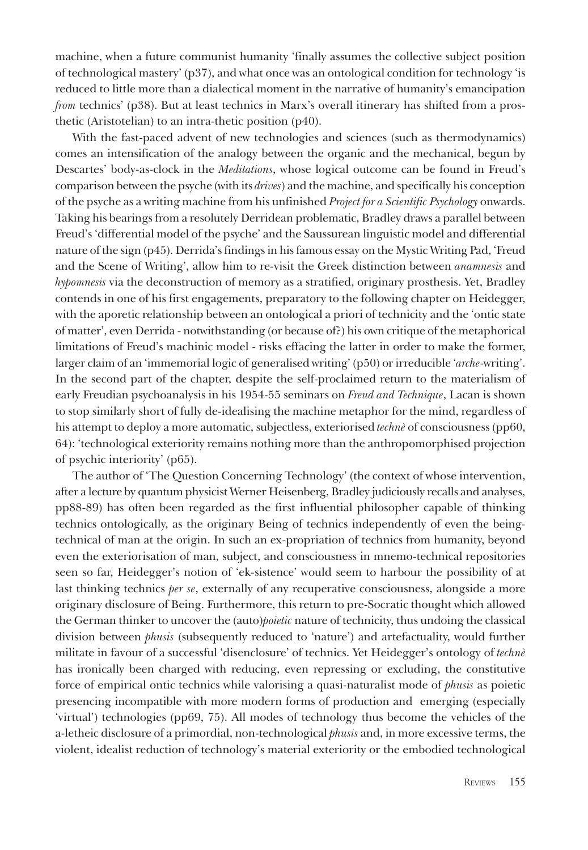machine, when a future communist humanity 'finally assumes the collective subject position of technological mastery' (p37), and what once was an ontological condition for technology 'is reduced to little more than a dialectical moment in the narrative of humanity's emancipation *from* technics' (p38). But at least technics in Marx's overall itinerary has shifted from a prosthetic (Aristotelian) to an intra-thetic position (p40).

With the fast-paced advent of new technologies and sciences (such as thermodynamics) comes an intensification of the analogy between the organic and the mechanical, begun by Descartes' body-as-clock in the *Meditations*, whose logical outcome can be found in Freud's comparison between the psyche (with its *drives*) and the machine, and specifically his conception of the psyche as a writing machine from his unfinished *Project for a Scientific Psychology* onwards. Taking his bearings from a resolutely Derridean problematic, Bradley draws a parallel between Freud's 'differential model of the psyche' and the Saussurean linguistic model and differential nature of the sign (p45). Derrida's findings in his famous essay on the Mystic Writing Pad, 'Freud and the Scene of Writing', allow him to re-visit the Greek distinction between *anamnesis* and *hypomnesis* via the deconstruction of memory as a stratified, originary prosthesis. Yet, Bradley contends in one of his first engagements, preparatory to the following chapter on Heidegger, with the aporetic relationship between an ontological a priori of technicity and the 'ontic state of matter', even Derrida - notwithstanding (or because of?) his own critique of the metaphorical limitations of Freud's machinic model - risks effacing the latter in order to make the former, larger claim of an 'immemorial logic of generalised writing' (p50) or irreducible '*arche*-writing'. In the second part of the chapter, despite the self-proclaimed return to the materialism of early Freudian psychoanalysis in his 1954-55 seminars on *Freud and Technique*, Lacan is shown to stop similarly short of fully de-idealising the machine metaphor for the mind, regardless of his attempt to deploy a more automatic, subjectless, exteriorised *technè* of consciousness (pp60, 64): 'technological exteriority remains nothing more than the anthropomorphised projection of psychic interiority' (p65).

The author of 'The Question Concerning Technology' (the context of whose intervention, after a lecture by quantum physicist Werner Heisenberg, Bradley judiciously recalls and analyses, pp88-89) has often been regarded as the first influential philosopher capable of thinking technics ontologically, as the originary Being of technics independently of even the beingtechnical of man at the origin. In such an ex-propriation of technics from humanity, beyond even the exteriorisation of man, subject, and consciousness in mnemo-technical repositories seen so far, Heidegger's notion of 'ek-sistence' would seem to harbour the possibility of at last thinking technics *per se*, externally of any recuperative consciousness, alongside a more originary disclosure of Being. Furthermore, this return to pre-Socratic thought which allowed the German thinker to uncover the (auto)*poietic* nature of technicity, thus undoing the classical division between *phusis* (subsequently reduced to 'nature') and artefactuality, would further militate in favour of a successful 'disenclosure' of technics. Yet Heidegger's ontology of *technè* has ironically been charged with reducing, even repressing or excluding, the constitutive force of empirical ontic technics while valorising a quasi-naturalist mode of *phusis* as poietic presencing incompatible with more modern forms of production and emerging (especially 'virtual') technologies (pp69, 75). All modes of technology thus become the vehicles of the a-letheic disclosure of a primordial, non-technological *phusis* and, in more excessive terms, the violent, idealist reduction of technology's material exteriority or the embodied technological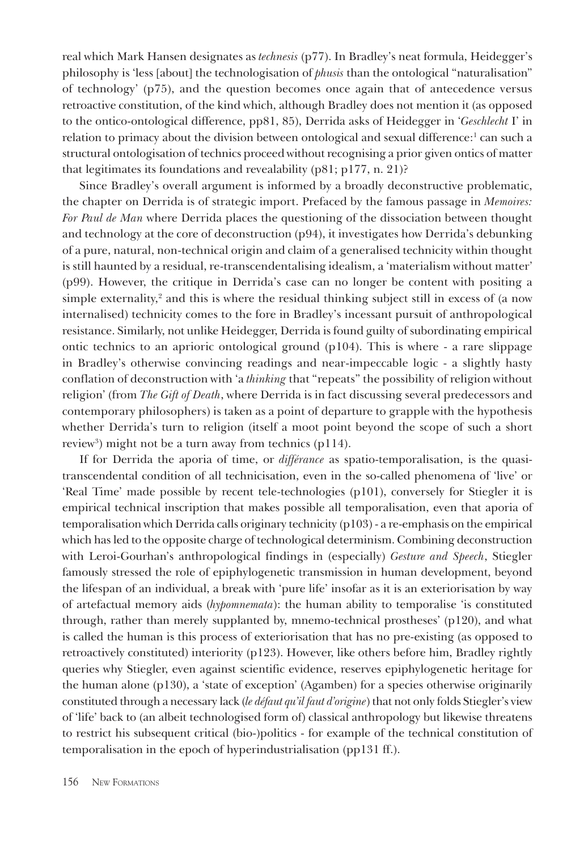real which Mark Hansen designates as *technesis* (p77). In Bradley's neat formula, Heidegger's philosophy is 'less [about] the technologisation of *phusis* than the ontological "naturalisation" of technology' (p75), and the question becomes once again that of antecedence versus retroactive constitution, of the kind which, although Bradley does not mention it (as opposed to the ontico-ontological difference, pp81, 85), Derrida asks of Heidegger in '*Geschlecht* I' in relation to primacy about the division between ontological and sexual difference:<sup>1</sup> can such a structural ontologisation of technics proceed without recognising a prior given ontics of matter that legitimates its foundations and revealability (p81; p177, n. 21)?

Since Bradley's overall argument is informed by a broadly deconstructive problematic, the chapter on Derrida is of strategic import. Prefaced by the famous passage in *Memoires: For Paul de Man* where Derrida places the questioning of the dissociation between thought and technology at the core of deconstruction (p94), it investigates how Derrida's debunking of a pure, natural, non-technical origin and claim of a generalised technicity within thought is still haunted by a residual, re-transcendentalising idealism, a 'materialism without matter' (p99). However, the critique in Derrida's case can no longer be content with positing a simple externality,<sup>2</sup> and this is where the residual thinking subject still in excess of (a now internalised) technicity comes to the fore in Bradley's incessant pursuit of anthropological resistance. Similarly, not unlike Heidegger, Derrida is found guilty of subordinating empirical ontic technics to an aprioric ontological ground (p104). This is where - a rare slippage in Bradley's otherwise convincing readings and near-impeccable logic - a slightly hasty conflation of deconstruction with 'a *thinking* that "repeats" the possibility of religion without religion' (from *The Gift of Death*, where Derrida is in fact discussing several predecessors and contemporary philosophers) is taken as a point of departure to grapple with the hypothesis whether Derrida's turn to religion (itself a moot point beyond the scope of such a short review<sup>3</sup>) might not be a turn away from technics (p114).

If for Derrida the aporia of time, or *différance* as spatio-temporalisation, is the quasitranscendental condition of all technicisation, even in the so-called phenomena of 'live' or 'Real Time' made possible by recent tele-technologies (p101), conversely for Stiegler it is empirical technical inscription that makes possible all temporalisation, even that aporia of temporalisation which Derrida calls originary technicity (p103) - a re-emphasis on the empirical which has led to the opposite charge of technological determinism. Combining deconstruction with Leroi-Gourhan's anthropological findings in (especially) *Gesture and Speech*, Stiegler famously stressed the role of epiphylogenetic transmission in human development, beyond the lifespan of an individual, a break with 'pure life' insofar as it is an exteriorisation by way of artefactual memory aids (*hypomnemata*): the human ability to temporalise 'is constituted through, rather than merely supplanted by, mnemo-technical prostheses' (p120), and what is called the human is this process of exteriorisation that has no pre-existing (as opposed to retroactively constituted) interiority (p123). However, like others before him, Bradley rightly queries why Stiegler, even against scientific evidence, reserves epiphylogenetic heritage for the human alone (p130), a 'state of exception' (Agamben) for a species otherwise originarily constituted through a necessary lack (*le défaut qu'il faut d'origine*) that not only folds Stiegler's view of 'life' back to (an albeit technologised form of) classical anthropology but likewise threatens to restrict his subsequent critical (bio-)politics - for example of the technical constitution of temporalisation in the epoch of hyperindustrialisation (pp131 ff.).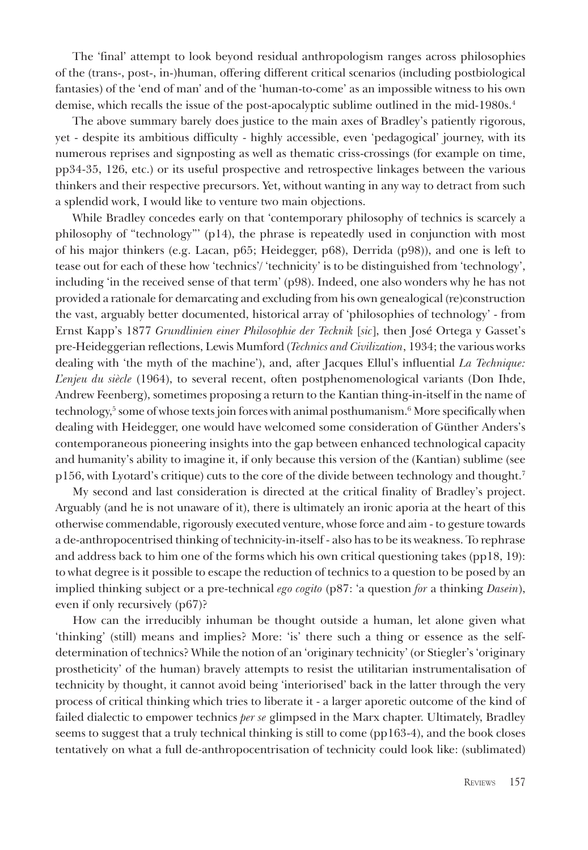The 'final' attempt to look beyond residual anthropologism ranges across philosophies of the (trans-, post-, in-)human, offering different critical scenarios (including postbiological fantasies) of the 'end of man' and of the 'human-to-come' as an impossible witness to his own demise, which recalls the issue of the post-apocalyptic sublime outlined in the mid-1980s.4

The above summary barely does justice to the main axes of Bradley's patiently rigorous, yet - despite its ambitious difficulty - highly accessible, even 'pedagogical' journey, with its numerous reprises and signposting as well as thematic criss-crossings (for example on time, pp34-35, 126, etc.) or its useful prospective and retrospective linkages between the various thinkers and their respective precursors. Yet, without wanting in any way to detract from such a splendid work, I would like to venture two main objections.

While Bradley concedes early on that 'contemporary philosophy of technics is scarcely a philosophy of "technology"' (p14), the phrase is repeatedly used in conjunction with most of his major thinkers (e.g. Lacan, p65; Heidegger, p68), Derrida (p98)), and one is left to tease out for each of these how 'technics'/ 'technicity' is to be distinguished from 'technology', including 'in the received sense of that term' (p98). Indeed, one also wonders why he has not provided a rationale for demarcating and excluding from his own genealogical (re)construction the vast, arguably better documented, historical array of 'philosophies of technology' - from Ernst Kapp's 1877 *Grundlinien einer Philosophie der Tecknik* [*sic*], then José Ortega y Gasset's pre-Heideggerian reflections, Lewis Mumford (*Technics and Civilization*, 1934; the various works dealing with 'the myth of the machine'), and, after Jacques Ellul's influential *La Technique: L'enjeu du siècle* (1964), to several recent, often postphenomenological variants (Don Ihde, Andrew Feenberg), sometimes proposing a return to the Kantian thing-in-itself in the name of technology,<sup>5</sup> some of whose texts join forces with animal posthumanism.<sup>6</sup> More specifically when dealing with Heidegger, one would have welcomed some consideration of Günther Anders's contemporaneous pioneering insights into the gap between enhanced technological capacity and humanity's ability to imagine it, if only because this version of the (Kantian) sublime (see p156, with Lyotard's critique) cuts to the core of the divide between technology and thought.7

My second and last consideration is directed at the critical finality of Bradley's project. Arguably (and he is not unaware of it), there is ultimately an ironic aporia at the heart of this otherwise commendable, rigorously executed venture, whose force and aim - to gesture towards a de-anthropocentrised thinking of technicity-in-itself - also has to be its weakness. To rephrase and address back to him one of the forms which his own critical questioning takes (pp18, 19): to what degree is it possible to escape the reduction of technics to a question to be posed by an implied thinking subject or a pre-technical *ego cogito* (p87: 'a question *for* a thinking *Dasein*), even if only recursively (p67)?

How can the irreducibly inhuman be thought outside a human, let alone given what 'thinking' (still) means and implies? More: 'is' there such a thing or essence as the selfdetermination of technics? While the notion of an 'originary technicity' (or Stiegler's 'originary prostheticity' of the human) bravely attempts to resist the utilitarian instrumentalisation of technicity by thought, it cannot avoid being 'interiorised' back in the latter through the very process of critical thinking which tries to liberate it - a larger aporetic outcome of the kind of failed dialectic to empower technics *per se* glimpsed in the Marx chapter. Ultimately, Bradley seems to suggest that a truly technical thinking is still to come (pp163-4), and the book closes tentatively on what a full de-anthropocentrisation of technicity could look like: (sublimated)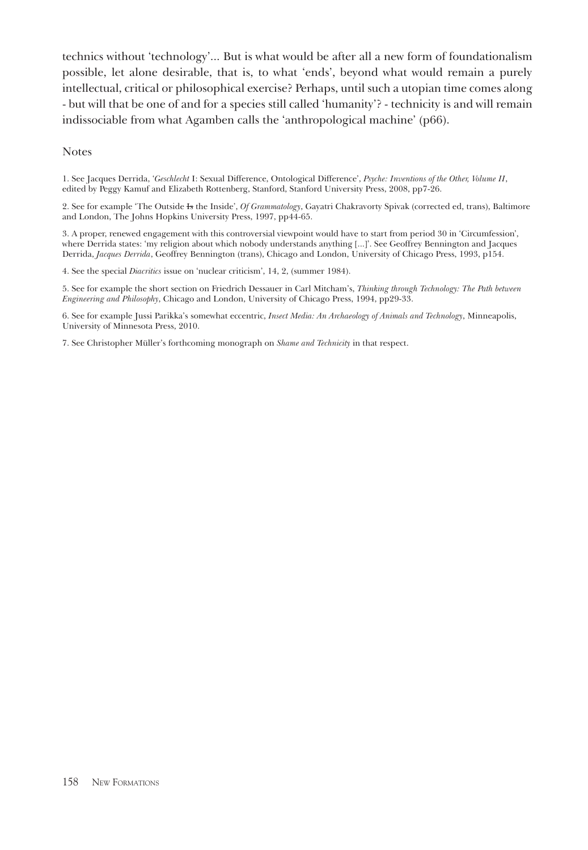technics without 'technology'... But is what would be after all a new form of foundationalism possible, let alone desirable, that is, to what 'ends', beyond what would remain a purely intellectual, critical or philosophical exercise? Perhaps, until such a utopian time comes along - but will that be one of and for a species still called 'humanity'? - technicity is and will remain indissociable from what Agamben calls the 'anthropological machine' (p66).

#### Notes

1. See Jacques Derrida, '*Geschlecht* I: Sexual Difference, Ontological Difference', *Psyche: Inventions of the Other, Volume II*, edited by Peggy Kamuf and Elizabeth Rottenberg, Stanford, Stanford University Press, 2008, pp7-26.

2. See for example 'The Outside Is the Inside', *Of Grammatology*, Gayatri Chakravorty Spivak (corrected ed, trans), Baltimore and London, The Johns Hopkins University Press, 1997, pp44-65.

3. A proper, renewed engagement with this controversial viewpoint would have to start from period 30 in 'Circumfession', where Derrida states: 'my religion about which nobody understands anything [...]'. See Geoffrey Bennington and Jacques Derrida, *Jacques Derrida*, Geoffrey Bennington (trans), Chicago and London, University of Chicago Press, 1993, p154.

4. See the special *Diacritics* issue on 'nuclear criticism', 14, 2, (summer 1984).

5. See for example the short section on Friedrich Dessauer in Carl Mitcham's, *Thinking through Technology: The Path between Engineering and Philosophy*, Chicago and London, University of Chicago Press, 1994, pp29-33.

6. See for example Jussi Parikka's somewhat eccentric, *Insect Media: An Archaeology of Animals and Technology*, Minneapolis, University of Minnesota Press, 2010.

7. See Christopher Müller's forthcoming monograph on *Shame and Technicity* in that respect.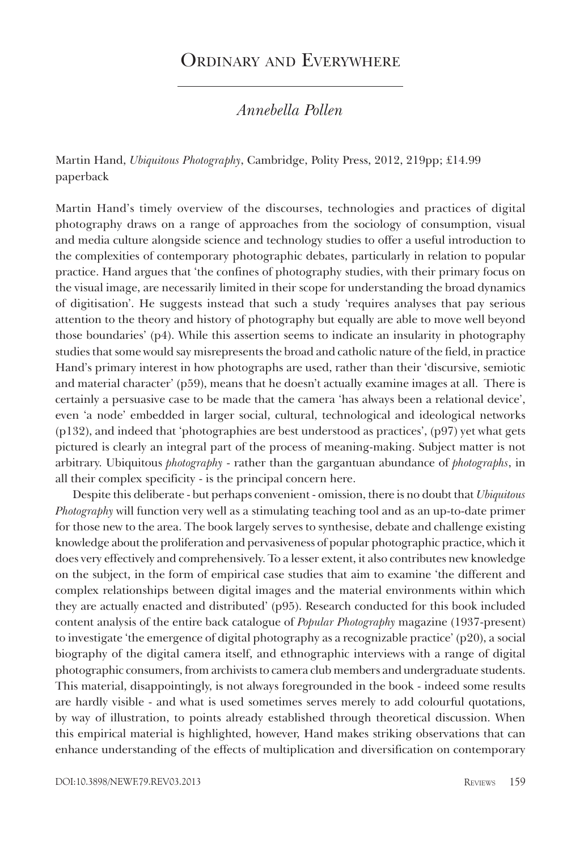# ORDINARY AND EVERYWHERE

### *Annebella Pollen*

Martin Hand, *Ubiquitous Photography*, Cambridge, Polity Press, 2012, 219pp; £14.99 paperback

Martin Hand's timely overview of the discourses, technologies and practices of digital photography draws on a range of approaches from the sociology of consumption, visual and media culture alongside science and technology studies to offer a useful introduction to the complexities of contemporary photographic debates, particularly in relation to popular practice. Hand argues that 'the confines of photography studies, with their primary focus on the visual image, are necessarily limited in their scope for understanding the broad dynamics of digitisation'. He suggests instead that such a study 'requires analyses that pay serious attention to the theory and history of photography but equally are able to move well beyond those boundaries' (p4). While this assertion seems to indicate an insularity in photography studies that some would say misrepresents the broad and catholic nature of the field, in practice Hand's primary interest in how photographs are used, rather than their 'discursive, semiotic and material character' (p59), means that he doesn't actually examine images at all. There is certainly a persuasive case to be made that the camera 'has always been a relational device', even 'a node' embedded in larger social, cultural, technological and ideological networks (p132), and indeed that 'photographies are best understood as practices', (p97) yet what gets pictured is clearly an integral part of the process of meaning-making. Subject matter is not arbitrary. Ubiquitous *photography* - rather than the gargantuan abundance of *photographs*, in all their complex specificity - is the principal concern here.

Despite this deliberate - but perhaps convenient - omission, there is no doubt that *Ubiquitous Photography* will function very well as a stimulating teaching tool and as an up-to-date primer for those new to the area. The book largely serves to synthesise, debate and challenge existing knowledge about the proliferation and pervasiveness of popular photographic practice, which it does very effectively and comprehensively. To a lesser extent, it also contributes new knowledge on the subject, in the form of empirical case studies that aim to examine 'the different and complex relationships between digital images and the material environments within which they are actually enacted and distributed' (p95). Research conducted for this book included content analysis of the entire back catalogue of *Popular Photography* magazine (1937-present) to investigate 'the emergence of digital photography as a recognizable practice' (p20), a social biography of the digital camera itself, and ethnographic interviews with a range of digital photographic consumers, from archivists to camera club members and undergraduate students. This material, disappointingly, is not always foregrounded in the book - indeed some results are hardly visible - and what is used sometimes serves merely to add colourful quotations, by way of illustration, to points already established through theoretical discussion. When this empirical material is highlighted, however, Hand makes striking observations that can enhance understanding of the effects of multiplication and diversification on contemporary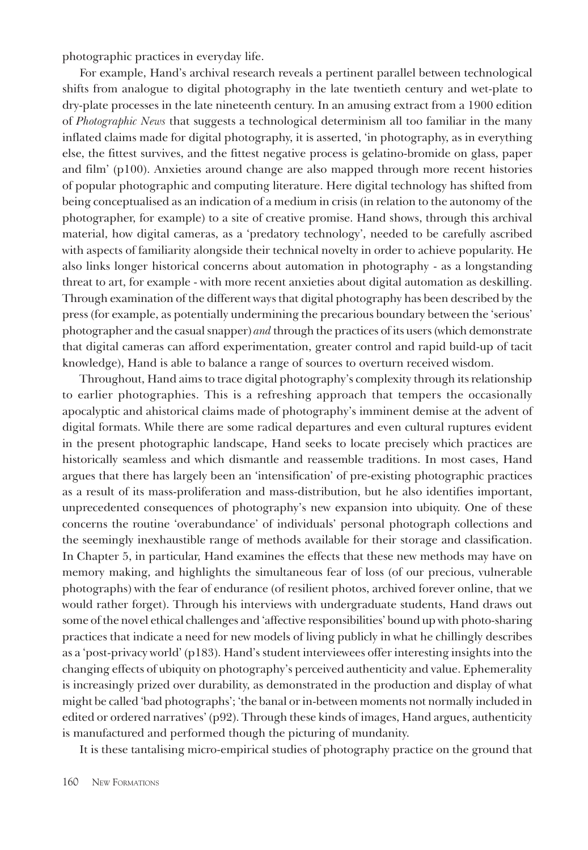photographic practices in everyday life.

For example, Hand's archival research reveals a pertinent parallel between technological shifts from analogue to digital photography in the late twentieth century and wet-plate to dry-plate processes in the late nineteenth century. In an amusing extract from a 1900 edition of *Photographic News* that suggests a technological determinism all too familiar in the many inflated claims made for digital photography, it is asserted, 'in photography, as in everything else, the fittest survives, and the fittest negative process is gelatino-bromide on glass, paper and film' (p100). Anxieties around change are also mapped through more recent histories of popular photographic and computing literature. Here digital technology has shifted from being conceptualised as an indication of a medium in crisis (in relation to the autonomy of the photographer, for example) to a site of creative promise. Hand shows, through this archival material, how digital cameras, as a 'predatory technology', needed to be carefully ascribed with aspects of familiarity alongside their technical novelty in order to achieve popularity. He also links longer historical concerns about automation in photography - as a longstanding threat to art, for example - with more recent anxieties about digital automation as deskilling. Through examination of the different ways that digital photography has been described by the press (for example, as potentially undermining the precarious boundary between the 'serious' photographer and the casual snapper) *and* through the practices of its users (which demonstrate that digital cameras can afford experimentation, greater control and rapid build-up of tacit knowledge), Hand is able to balance a range of sources to overturn received wisdom.

Throughout, Hand aims to trace digital photography's complexity through its relationship to earlier photographies. This is a refreshing approach that tempers the occasionally apocalyptic and ahistorical claims made of photography's imminent demise at the advent of digital formats. While there are some radical departures and even cultural ruptures evident in the present photographic landscape, Hand seeks to locate precisely which practices are historically seamless and which dismantle and reassemble traditions. In most cases, Hand argues that there has largely been an 'intensification' of pre-existing photographic practices as a result of its mass-proliferation and mass-distribution, but he also identifies important, unprecedented consequences of photography's new expansion into ubiquity. One of these concerns the routine 'overabundance' of individuals' personal photograph collections and the seemingly inexhaustible range of methods available for their storage and classification. In Chapter 5, in particular, Hand examines the effects that these new methods may have on memory making, and highlights the simultaneous fear of loss (of our precious, vulnerable photographs) with the fear of endurance (of resilient photos, archived forever online, that we would rather forget). Through his interviews with undergraduate students, Hand draws out some of the novel ethical challenges and 'affective responsibilities' bound up with photo-sharing practices that indicate a need for new models of living publicly in what he chillingly describes as a 'post-privacy world' (p183). Hand's student interviewees offer interesting insights into the changing effects of ubiquity on photography's perceived authenticity and value. Ephemerality is increasingly prized over durability, as demonstrated in the production and display of what might be called 'bad photographs'; 'the banal or in-between moments not normally included in edited or ordered narratives' (p92). Through these kinds of images, Hand argues, authenticity is manufactured and performed though the picturing of mundanity.

It is these tantalising micro-empirical studies of photography practice on the ground that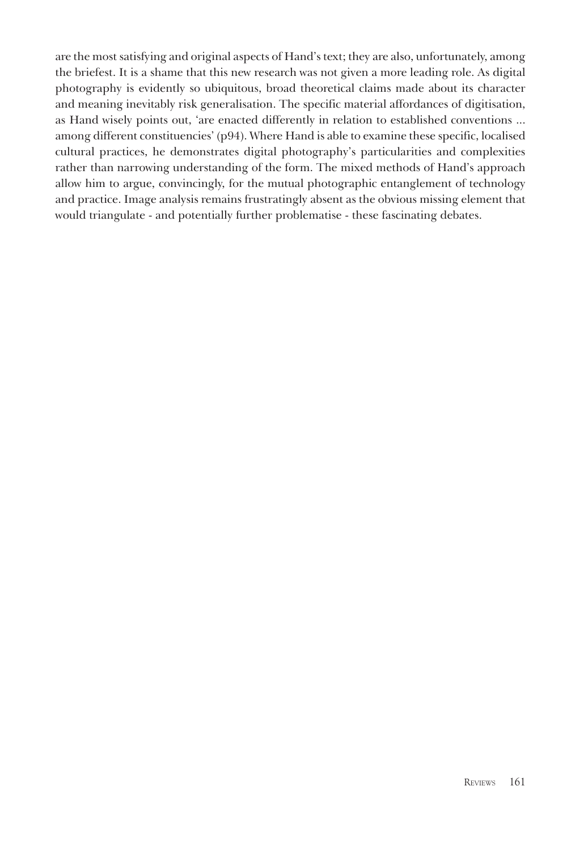are the most satisfying and original aspects of Hand's text; they are also, unfortunately, among the briefest. It is a shame that this new research was not given a more leading role. As digital photography is evidently so ubiquitous, broad theoretical claims made about its character and meaning inevitably risk generalisation. The specific material affordances of digitisation, as Hand wisely points out, 'are enacted differently in relation to established conventions ... among different constituencies' (p94). Where Hand is able to examine these specific, localised cultural practices, he demonstrates digital photography's particularities and complexities rather than narrowing understanding of the form. The mixed methods of Hand's approach allow him to argue, convincingly, for the mutual photographic entanglement of technology and practice. Image analysis remains frustratingly absent as the obvious missing element that would triangulate - and potentially further problematise - these fascinating debates.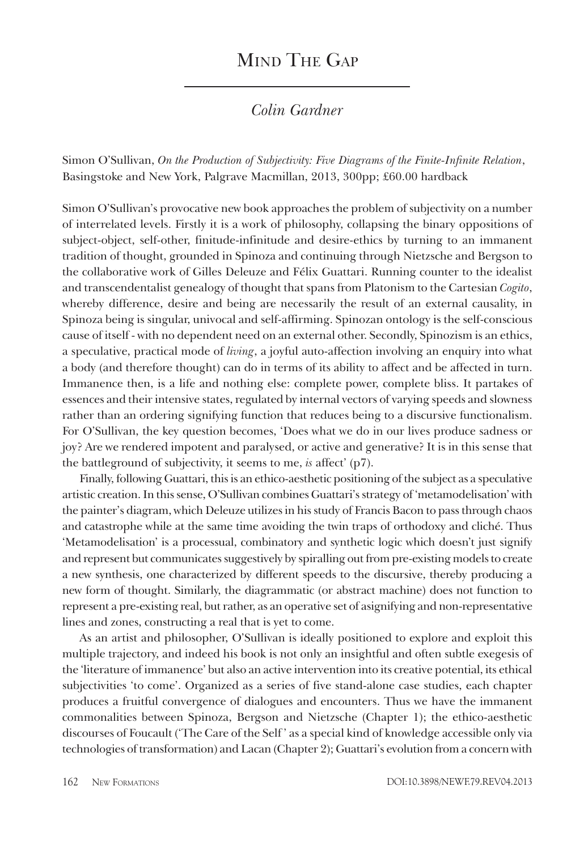# MIND THE GAP

### *Colin Gardner*

Simon O'Sullivan, *On the Production of Subjectivity: Five Diagrams of the Finite-Infinite Relation*, Basingstoke and New York, Palgrave Macmillan, 2013, 300pp; £60.00 hardback

Simon O'Sullivan's provocative new book approaches the problem of subjectivity on a number of interrelated levels. Firstly it is a work of philosophy, collapsing the binary oppositions of subject-object, self-other, finitude-infinitude and desire-ethics by turning to an immanent tradition of thought, grounded in Spinoza and continuing through Nietzsche and Bergson to the collaborative work of Gilles Deleuze and Félix Guattari. Running counter to the idealist and transcendentalist genealogy of thought that spans from Platonism to the Cartesian *Cogito*, whereby difference, desire and being are necessarily the result of an external causality, in Spinoza being is singular, univocal and self-affirming. Spinozan ontology is the self-conscious cause of itself - with no dependent need on an external other. Secondly, Spinozism is an ethics, a speculative, practical mode of *living*, a joyful auto-affection involving an enquiry into what a body (and therefore thought) can do in terms of its ability to affect and be affected in turn. Immanence then, is a life and nothing else: complete power, complete bliss. It partakes of essences and their intensive states, regulated by internal vectors of varying speeds and slowness rather than an ordering signifying function that reduces being to a discursive functionalism. For O'Sullivan, the key question becomes, 'Does what we do in our lives produce sadness or joy? Are we rendered impotent and paralysed, or active and generative? It is in this sense that the battleground of subjectivity, it seems to me, *is* affect' (p7).

Finally, following Guattari, this is an ethico-aesthetic positioning of the subject as a speculative artistic creation. In this sense, O'Sullivan combines Guattari's strategy of 'metamodelisation' with the painter's diagram, which Deleuze utilizes in his study of Francis Bacon to pass through chaos and catastrophe while at the same time avoiding the twin traps of orthodoxy and cliché. Thus 'Metamodelisation' is a processual, combinatory and synthetic logic which doesn't just signify and represent but communicates suggestively by spiralling out from pre-existing models to create a new synthesis, one characterized by different speeds to the discursive, thereby producing a new form of thought. Similarly, the diagrammatic (or abstract machine) does not function to represent a pre-existing real, but rather, as an operative set of asignifying and non-representative lines and zones, constructing a real that is yet to come.

As an artist and philosopher, O'Sullivan is ideally positioned to explore and exploit this multiple trajectory, and indeed his book is not only an insightful and often subtle exegesis of the 'literature of immanence' but also an active intervention into its creative potential, its ethical subjectivities 'to come'. Organized as a series of five stand-alone case studies, each chapter produces a fruitful convergence of dialogues and encounters. Thus we have the immanent commonalities between Spinoza, Bergson and Nietzsche (Chapter 1); the ethico-aesthetic discourses of Foucault ('The Care of the Self ' as a special kind of knowledge accessible only via technologies of transformation) and Lacan (Chapter 2); Guattari's evolution from a concern with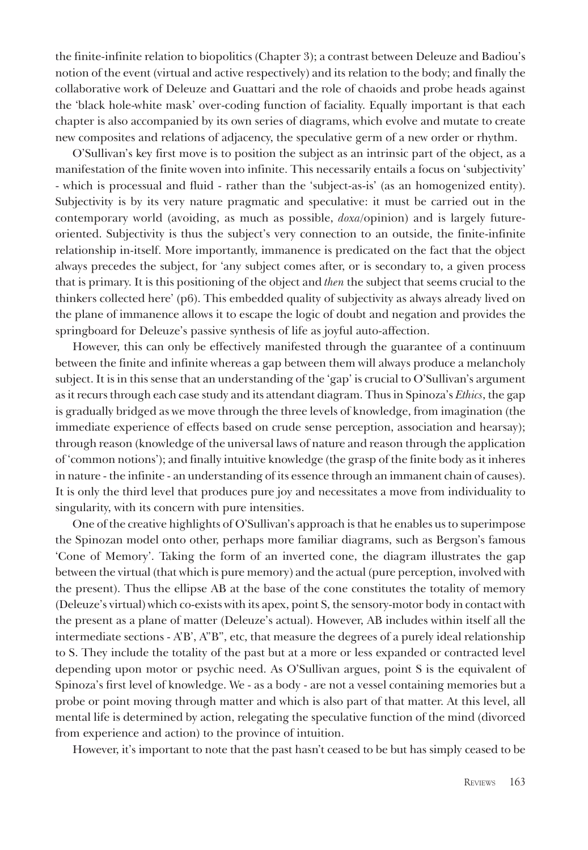the finite-infinite relation to biopolitics (Chapter 3); a contrast between Deleuze and Badiou's notion of the event (virtual and active respectively) and its relation to the body; and finally the collaborative work of Deleuze and Guattari and the role of chaoids and probe heads against the 'black hole-white mask' over-coding function of faciality. Equally important is that each chapter is also accompanied by its own series of diagrams, which evolve and mutate to create new composites and relations of adjacency, the speculative germ of a new order or rhythm.

O'Sullivan's key first move is to position the subject as an intrinsic part of the object, as a manifestation of the finite woven into infinite. This necessarily entails a focus on 'subjectivity' - which is processual and fluid - rather than the 'subject-as-is' (as an homogenized entity). Subjectivity is by its very nature pragmatic and speculative: it must be carried out in the contemporary world (avoiding, as much as possible, *doxa*/opinion) and is largely futureoriented. Subjectivity is thus the subject's very connection to an outside, the finite-infinite relationship in-itself. More importantly, immanence is predicated on the fact that the object always precedes the subject, for 'any subject comes after, or is secondary to, a given process that is primary. It is this positioning of the object and *then* the subject that seems crucial to the thinkers collected here' (p6). This embedded quality of subjectivity as always already lived on the plane of immanence allows it to escape the logic of doubt and negation and provides the springboard for Deleuze's passive synthesis of life as joyful auto-affection.

However, this can only be effectively manifested through the guarantee of a continuum between the finite and infinite whereas a gap between them will always produce a melancholy subject. It is in this sense that an understanding of the 'gap' is crucial to O'Sullivan's argument as it recurs through each case study and its attendant diagram. Thus in Spinoza's *Ethics*, the gap is gradually bridged as we move through the three levels of knowledge, from imagination (the immediate experience of effects based on crude sense perception, association and hearsay); through reason (knowledge of the universal laws of nature and reason through the application of 'common notions'); and finally intuitive knowledge (the grasp of the finite body as it inheres in nature - the infinite - an understanding of its essence through an immanent chain of causes). It is only the third level that produces pure joy and necessitates a move from individuality to singularity, with its concern with pure intensities.

One of the creative highlights of O'Sullivan's approach is that he enables us to superimpose the Spinozan model onto other, perhaps more familiar diagrams, such as Bergson's famous 'Cone of Memory'. Taking the form of an inverted cone, the diagram illustrates the gap between the virtual (that which is pure memory) and the actual (pure perception, involved with the present). Thus the ellipse AB at the base of the cone constitutes the totality of memory (Deleuze's virtual) which co-exists with its apex, point S, the sensory-motor body in contact with the present as a plane of matter (Deleuze's actual). However, AB includes within itself all the intermediate sections - A'B', A"B", etc, that measure the degrees of a purely ideal relationship to S. They include the totality of the past but at a more or less expanded or contracted level depending upon motor or psychic need. As O'Sullivan argues, point S is the equivalent of Spinoza's first level of knowledge. We - as a body - are not a vessel containing memories but a probe or point moving through matter and which is also part of that matter. At this level, all mental life is determined by action, relegating the speculative function of the mind (divorced from experience and action) to the province of intuition.

However, it's important to note that the past hasn't ceased to be but has simply ceased to be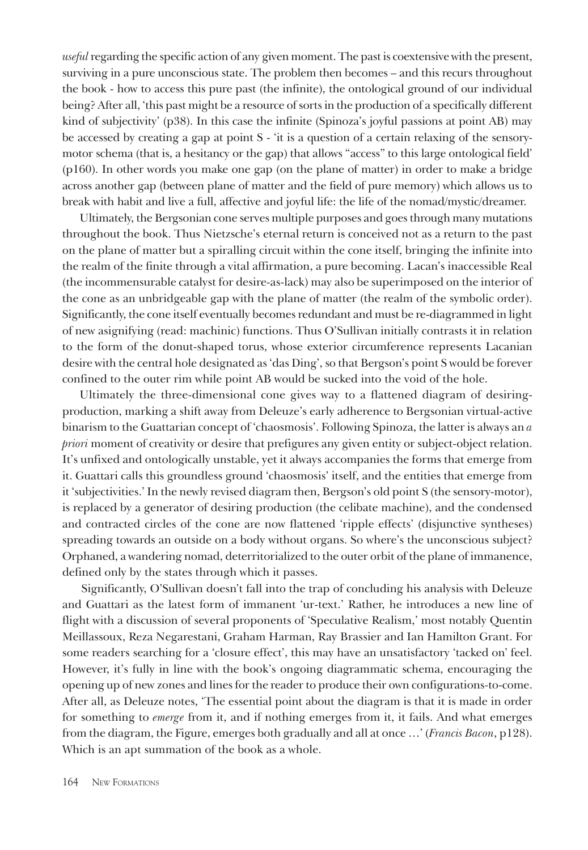*useful* regarding the specific action of any given moment. The past is coextensive with the present, surviving in a pure unconscious state. The problem then becomes – and this recurs throughout the book - how to access this pure past (the infinite), the ontological ground of our individual being? After all, 'this past might be a resource of sorts in the production of a specifically different kind of subjectivity' (p38). In this case the infinite (Spinoza's joyful passions at point AB) may be accessed by creating a gap at point S - 'it is a question of a certain relaxing of the sensorymotor schema (that is, a hesitancy or the gap) that allows "access" to this large ontological field' (p160). In other words you make one gap (on the plane of matter) in order to make a bridge across another gap (between plane of matter and the field of pure memory) which allows us to break with habit and live a full, affective and joyful life: the life of the nomad/mystic/dreamer.

Ultimately, the Bergsonian cone serves multiple purposes and goes through many mutations throughout the book. Thus Nietzsche's eternal return is conceived not as a return to the past on the plane of matter but a spiralling circuit within the cone itself, bringing the infinite into the realm of the finite through a vital affirmation, a pure becoming. Lacan's inaccessible Real (the incommensurable catalyst for desire-as-lack) may also be superimposed on the interior of the cone as an unbridgeable gap with the plane of matter (the realm of the symbolic order). Significantly, the cone itself eventually becomes redundant and must be re-diagrammed in light of new asignifying (read: machinic) functions. Thus O'Sullivan initially contrasts it in relation to the form of the donut-shaped torus, whose exterior circumference represents Lacanian desire with the central hole designated as 'das Ding', so that Bergson's point S would be forever confined to the outer rim while point AB would be sucked into the void of the hole.

Ultimately the three-dimensional cone gives way to a flattened diagram of desiringproduction, marking a shift away from Deleuze's early adherence to Bergsonian virtual-active binarism to the Guattarian concept of 'chaosmosis'. Following Spinoza, the latter is always an *a priori* moment of creativity or desire that prefigures any given entity or subject-object relation. It's unfixed and ontologically unstable, yet it always accompanies the forms that emerge from it. Guattari calls this groundless ground 'chaosmosis' itself, and the entities that emerge from it 'subjectivities.' In the newly revised diagram then, Bergson's old point S (the sensory-motor), is replaced by a generator of desiring production (the celibate machine), and the condensed and contracted circles of the cone are now flattened 'ripple effects' (disjunctive syntheses) spreading towards an outside on a body without organs. So where's the unconscious subject? Orphaned, a wandering nomad, deterritorialized to the outer orbit of the plane of immanence, defined only by the states through which it passes.

 Significantly, O'Sullivan doesn't fall into the trap of concluding his analysis with Deleuze and Guattari as the latest form of immanent 'ur-text.' Rather, he introduces a new line of flight with a discussion of several proponents of 'Speculative Realism,' most notably Quentin Meillassoux, Reza Negarestani, Graham Harman, Ray Brassier and Ian Hamilton Grant. For some readers searching for a 'closure effect', this may have an unsatisfactory 'tacked on' feel. However, it's fully in line with the book's ongoing diagrammatic schema, encouraging the opening up of new zones and lines for the reader to produce their own configurations-to-come. After all, as Deleuze notes, 'The essential point about the diagram is that it is made in order for something to *emerge* from it, and if nothing emerges from it, it fails. And what emerges from the diagram, the Figure, emerges both gradually and all at once …' (*Francis Bacon*, p128). Which is an apt summation of the book as a whole.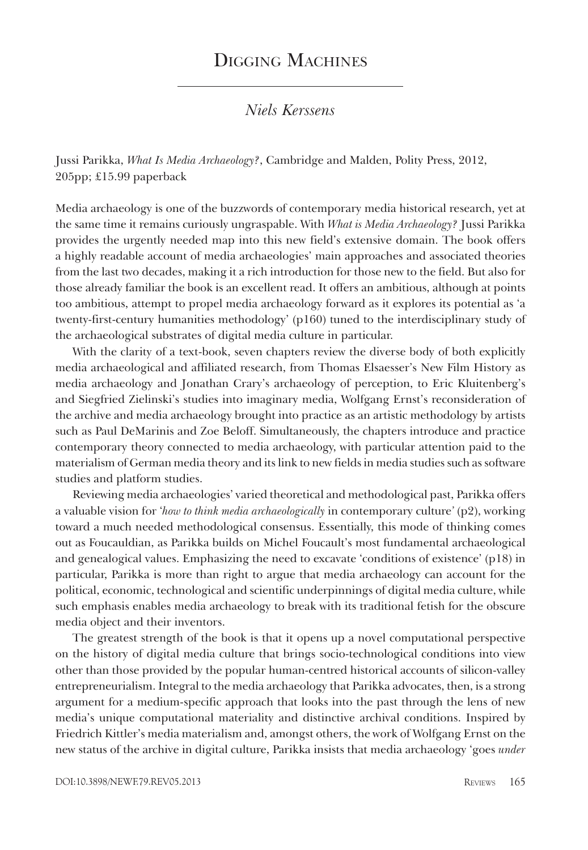# DIGGING MACHINES

### *Niels Kerssens*

Jussi Parikka, *What Is Media Archaeology?*, Cambridge and Malden, Polity Press, 2012, 205pp; £15.99 paperback

Media archaeology is one of the buzzwords of contemporary media historical research, yet at the same time it remains curiously ungraspable. With *What is Media Archaeology?* Jussi Parikka provides the urgently needed map into this new field's extensive domain. The book offers a highly readable account of media archaeologies' main approaches and associated theories from the last two decades, making it a rich introduction for those new to the field. But also for those already familiar the book is an excellent read. It offers an ambitious, although at points too ambitious, attempt to propel media archaeology forward as it explores its potential as 'a twenty-first-century humanities methodology' (p160) tuned to the interdisciplinary study of the archaeological substrates of digital media culture in particular.

With the clarity of a text-book, seven chapters review the diverse body of both explicitly media archaeological and affiliated research, from Thomas Elsaesser's New Film History as media archaeology and Jonathan Crary's archaeology of perception, to Eric Kluitenberg's and Siegfried Zielinski's studies into imaginary media, Wolfgang Ernst's reconsideration of the archive and media archaeology brought into practice as an artistic methodology by artists such as Paul DeMarinis and Zoe Beloff. Simultaneously, the chapters introduce and practice contemporary theory connected to media archaeology, with particular attention paid to the materialism of German media theory and its link to new fields in media studies such as software studies and platform studies.

Reviewing media archaeologies' varied theoretical and methodological past, Parikka offers a valuable vision for '*how to think media archaeologically* in contemporary culture*'* (p2), working toward a much needed methodological consensus. Essentially, this mode of thinking comes out as Foucauldian, as Parikka builds on Michel Foucault's most fundamental archaeological and genealogical values. Emphasizing the need to excavate 'conditions of existence' (p18) in particular, Parikka is more than right to argue that media archaeology can account for the political, economic, technological and scientific underpinnings of digital media culture, while such emphasis enables media archaeology to break with its traditional fetish for the obscure media object and their inventors.

The greatest strength of the book is that it opens up a novel computational perspective on the history of digital media culture that brings socio-technological conditions into view other than those provided by the popular human-centred historical accounts of silicon-valley entrepreneurialism. Integral to the media archaeology that Parikka advocates, then, is a strong argument for a medium-specific approach that looks into the past through the lens of new media's unique computational materiality and distinctive archival conditions. Inspired by Friedrich Kittler's media materialism and, amongst others, the work of Wolfgang Ernst on the new status of the archive in digital culture, Parikka insists that media archaeology 'goes *under*